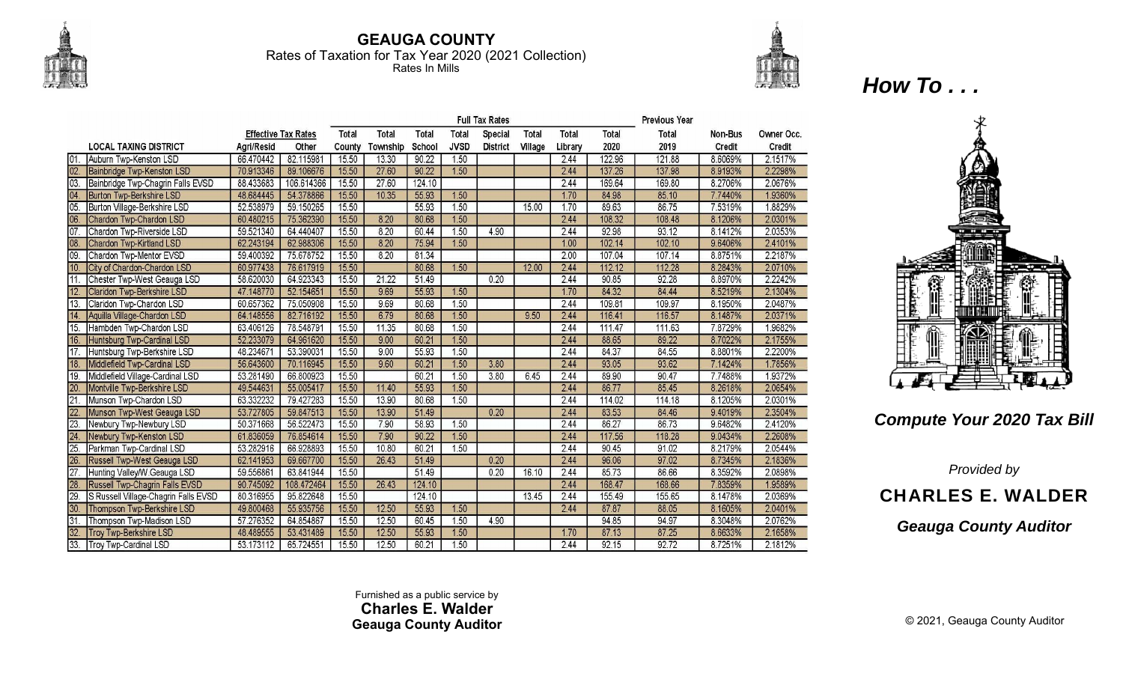

33.

Troy Twp-Cardinal LSD

53.173112

65.724551

15.50

12.50

## **GEAUGA COUNTY** Rates of Taxation for Tax Year 2020 (2021 Collection) Rates In Mills



**Full Tax Rates Previous Year Effective Tax Rates** Total **Total Total Total Special** Total Total Total **Total** Non-Bus Owner Occ. **LOCAL TAXING DISTRICT** Aari/Resid Other County Township School **JVSD District** Village Library 2020 Credit Credit 2019 01 Auburn Twp-Kenston LSD 66.470442 82.115981 15.50 13.30 90.22  $1.50$ 2.44 122.96 121.88 8.6069% 2.1517%  $1.50$ 2.44 137.98  $02.$ Bainbridge Twp-Kenston LSD 70.913346 89.106676 15.50 27.60 90.22 137.26 8.9193% 2.2298% 88.433683 106.614366 15.50 27.60 2.44 169.64 169.80 8.2706% 2.0676% 03. Bainbridge Twp-Chagrin Falls EVSD 124.10  $04$ **Burton Twp-Berkshire LSD** 48.684445 54.378866 15.50 10.35 55.93  $1.50$ 1.70 84.98 85.10 7.7440% 1.9360% 15.50 55.93  $1.50$ 89.63 86.75 7.5319% 1.8829%  $05.$ Burton Village-Berkshire LSD 52.538979 59.150265 15.00  $1.70$ 8.20  $1.50$ 108.48 2.0301% Chardon Twp-Chardon LSD 75.362390 15.50 80.68 2.44 108.32 06. 60.480215 8.1206%  $07<sub>1</sub>$ Chardon Twp-Riverside LSD 59.521340 15.50 8.20 60.44 1.50 4.90 2.44 92.98 93.12 2.0353% 64.440407 8.1412% Chardon Twp-Kirtland LSD 62.988306 15.50 8.20 75.94  $1.50$  $1.00$ 102.14 102.10 9.6406% 2.4101% 08 62.243194  $\overline{09}$ Chardon Twp-Mentor EVSD 59.400392 75.678752 15.50  $8.20$ 81.34  $2.00$ 107.04 107.14 8.8751% 2.2187%  $10<sup>1</sup>$ City of Chardon-Chardon LSD 60.977438 76.617919 15.50 80.68  $1.50$ 12.00 2.44 112.12 112.28 8.2843% 2.0710%  $11$ Chester Twp-West Geauga LSD 58.620030 64.923343 15.50 21.22 51.49  $0.20$ 2.44 90.85 92.28 8.8970% 2.2242%  $12.$ Claridon Twp-Berkshire LSD 52.154651 15.50 9.69 55.93  $1.50$ 84.32 84.44 2.1304% 47.148770 1.70 8.5219% 109.97 13. Claridon Twp-Chardon LSD 60.657362 75.050908 15.50 9.69 80.68  $1.50$ 2.44 109.81 8.1950% 2.0487% Aquilla Village-Chardon LSD 64.148556 82.716192 15.50 6.79 80.68 1.50 9.50 2.44 116.41 116.57 8.1487% 2.0371%  $14.$  $1.50$ 1.9682%  $15.$ Hambden Twp-Chardon LSD 63.406126 78.548791 15.50  $11.35$ 80.68 2.44 111.47 111.63 7.8729% 1.50 89.22 52.233079 15.50  $9.00$ 60.21 2.44 88.65 2.1755% 16. **Huntsburg Twp-Cardinal LSD** 64.961620 8.7022% 15.50 9.00 55.93  $1.50$ 2.44 84.37 84.55 2.2200%  $17.$ Huntsburg Twp-Berkshire LSD 48.234671 53.390031 8.8801%  $18.$ Middlefield Twp-Cardinal LSD 56.643600 70.116945 15.50 9.60 60.21  $1.50$ 3.80 2.44 93.05 93.62 7.1424% 1.7856% 19. Middlefield Village-Cardinal LSD 53.281490 66,800923 15.50 60.21  $1.50$  $3.80$ 6.45 2.44 89.90 90.47 7.7488% 1.9372% 85.45 Montville Twp-Berkshire LSD 49.544631 55.005417 15.50 11.40 55.93 1.50 2.44 86.77 8.2618% 2.0654% 63.332232 15.50 13.90 1.50 2.44 Munson Twp-Chardon LSD 79.427283 80.68 114.02 114.18 8.1205% 2.0301% 84.46 2.3504% Munson Twp-West Geauga LSD 53.727805 59.847513 15.50 13.90 51.49  $0.20$ 2.44 83.53 9.4019%  $22$ 23. 50.371668 56.522473 15.50 7.90 58.93  $1.50$ 2.44 86.27 86.73 9.6482% 2.4120% Newbury Twp-Newbury LSD 24 **Newbury Twp-Kenston LSD** 61.836059 76.854614 15.50 7.90 90.22  $1.50$ 2.44 117.56 118.28 9.0434% 2.2608% 15.50 10.80 1.50 2.44 90.45 91.02 2.0544%  $25.$ Parkman Twp-Cardinal LSD 53.282916 66.928893 60.21 8.2179% 15.50  $0.20$ 96.06 97.02 Russell Twp-West Geauga LSD 62.141953 69.667700 26.43 51.49 2.44 8.7345% 2.1836% Hunting Valley/W.Geauga LSD 59.556861 63.841944 15.50 51.49  $0.20$ 16.10 2.44 85.73 86.66 8.3592% 2.0898% 27. **Russell Twp-Chagrin Falls EVSD** 90.745092 108.472464 15.50 26.43 124.10 2.44 168.47 168.66 7.8359% 1.9589% 28. 15.50 13.45 2.44 155.49 155.65 29. S Russell Village-Chagrin Falls EVSD 80.316955 95.822648 124.10 8.1478% 2.0369%  $1.50$  $30.$ Thompson Twp-Berkshire LSD 49.800468 55.935756 15.50 12.50 55.93 2.44 87.87 88.05 8.1605% 2.0401% 94.97 Thompson Twp-Madison LSD 64.854867 15.50 12.50 60.45 1.50 4.90 94.85 8.3048% 2.0762% 31 57.276352 **Troy Twp-Berkshire LSD** 53.431489 15.50 12.50 55.93 87.25 2.1658% 32. 48.489555 1.50 1.70 87.13 8.6633%

*How To . . .* 



## *Compute Your 2020 Tax Bill*

*Provided by* 

CHARLES E. WALDER

*Geauga County Auditor*

Furnished as a public service by **Charles E. Walder Geauga County Auditor** 

60.21

 $1.50$ 

2.44

 $92.15$ 

92.72

8.7251%

2.1812%

© 2021, Geauga County Auditor